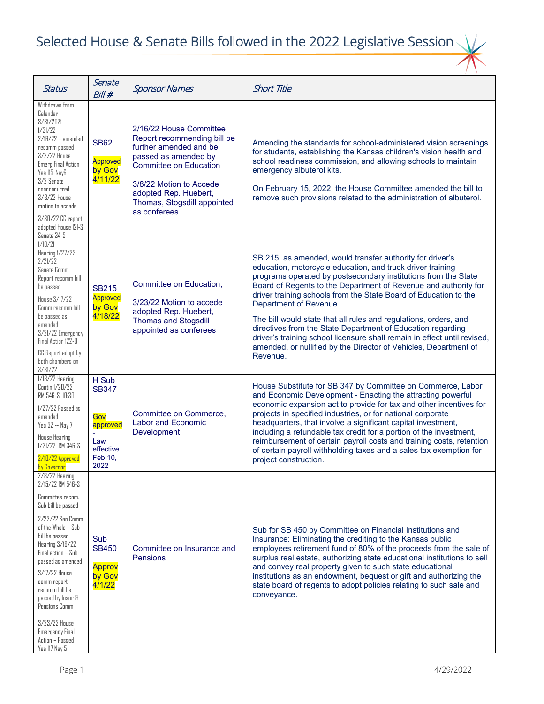| <b>Status</b>                                                                                                                                                                                                                                                                                                                                                                   | Senate<br>Bill#                                                                      | <b>Sponsor Names</b>                                                                                                                                                                                                                         | <b>Short Title</b>                                                                                                                                                                                                                                                                                                                                                                                                                                                                                                                                                                                                                                        |
|---------------------------------------------------------------------------------------------------------------------------------------------------------------------------------------------------------------------------------------------------------------------------------------------------------------------------------------------------------------------------------|--------------------------------------------------------------------------------------|----------------------------------------------------------------------------------------------------------------------------------------------------------------------------------------------------------------------------------------------|-----------------------------------------------------------------------------------------------------------------------------------------------------------------------------------------------------------------------------------------------------------------------------------------------------------------------------------------------------------------------------------------------------------------------------------------------------------------------------------------------------------------------------------------------------------------------------------------------------------------------------------------------------------|
| Withdrawn from<br>Calendar<br>3/31/2021<br>1/31/22<br>$2/16/22$ - amended<br>recomm passed<br>3/2/22 House<br><b>Emerg Final Action</b><br>Yea 115-NayG<br>3/2 Senate<br>nonconcurred<br>3/8/22 House<br>motion to accede<br>3/30/22 CC report<br>adopted House 121-3<br>Senate 34-5                                                                                            | <b>SB62</b><br><b>Approved</b><br>by Gov<br>4/11/22                                  | 2/16/22 House Committee<br>Report recommending bill be<br>further amended and be<br>passed as amended by<br><b>Committee on Education</b><br>3/8/22 Motion to Accede<br>adopted Rep. Huebert,<br>Thomas, Stogsdill appointed<br>as conferees | Amending the standards for school-administered vision screenings<br>for students, establishing the Kansas children's vision health and<br>school readiness commission, and allowing schools to maintain<br>emergency albuterol kits.<br>On February 15, 2022, the House Committee amended the bill to<br>remove such provisions related to the administration of albuterol.                                                                                                                                                                                                                                                                               |
| 1/10/21<br>Hearing 1/27/22<br>2/21/22<br>Senate Comm<br>Report recomm bill<br>be passed<br>House 3/17/22<br>Comm recomm bill<br>be passed as<br>amended<br>3/21/22 Emergency<br>Final Action 122-D<br>CC Report adopt by<br>both chambers on<br>3/31/22                                                                                                                         | <b>SB215</b><br><b>Approved</b><br>by Gov<br>4/18/22                                 | Committee on Education,<br>3/23/22 Motion to accede<br>adopted Rep. Huebert,<br><b>Thomas and Stogsdill</b><br>appointed as conferees                                                                                                        | SB 215, as amended, would transfer authority for driver's<br>education, motorcycle education, and truck driver training<br>programs operated by postsecondary institutions from the State<br>Board of Regents to the Department of Revenue and authority for<br>driver training schools from the State Board of Education to the<br>Department of Revenue.<br>The bill would state that all rules and regulations, orders, and<br>directives from the State Department of Education regarding<br>driver's training school licensure shall remain in effect until revised,<br>amended, or nullified by the Director of Vehicles, Department of<br>Revenue. |
| 1/18/22 Hearing<br>Contin 1/20/22<br>RM 546-S 10:30<br>$1/27/22$ Passed as<br>amended<br>Yea 32 -- Nay 7<br><b>House Hearing</b><br>1/31/22 RM 346-S<br>2/10/22 Approved<br>by Governor                                                                                                                                                                                         | H Sub<br><b>SB347</b><br>Gov<br>approved<br>÷<br>Law<br>effective<br>Feb 10.<br>2022 | Committee on Commerce,<br><b>Labor and Economic</b><br>Development                                                                                                                                                                           | House Substitute for SB 347 by Committee on Commerce, Labor<br>and Economic Development - Enacting the attracting powerful<br>economic expansion act to provide for tax and other incentives for<br>projects in specified industries, or for national corporate<br>headquarters, that involve a significant capital investment,<br>including a refundable tax credit for a portion of the investment,<br>reimbursement of certain payroll costs and training costs, retention<br>of certain payroll withholding taxes and a sales tax exemption for<br>project construction.                                                                              |
| $2/8/22$ Hearing<br>2/15/22 RM 546-S<br>Committee recom.<br>Sub bill be passed<br>2/22/22 Sen Comm<br>of the Whole – Sub<br>bill be passed<br>Hearing 3/16/22<br>Final action - Sub<br>passed as amended<br>3/17/22 House<br>comm report<br>recomm bill be<br>passed by Insur &<br>Pensions Comm<br>3/23/22 House<br><b>Emergency Final</b><br>Action - Passed<br>Yea 117 Nay 5 | Sub<br><b>SB450</b><br>Approv<br>by Gov<br>4/1/22                                    | Committee on Insurance and<br><b>Pensions</b>                                                                                                                                                                                                | Sub for SB 450 by Committee on Financial Institutions and<br>Insurance: Eliminating the crediting to the Kansas public<br>employees retirement fund of 80% of the proceeds from the sale of<br>surplus real estate, authorizing state educational institutions to sell<br>and convey real property given to such state educational<br>institutions as an endowment, bequest or gift and authorizing the<br>state board of regents to adopt policies relating to such sale and<br>conveyance.                                                                                                                                                              |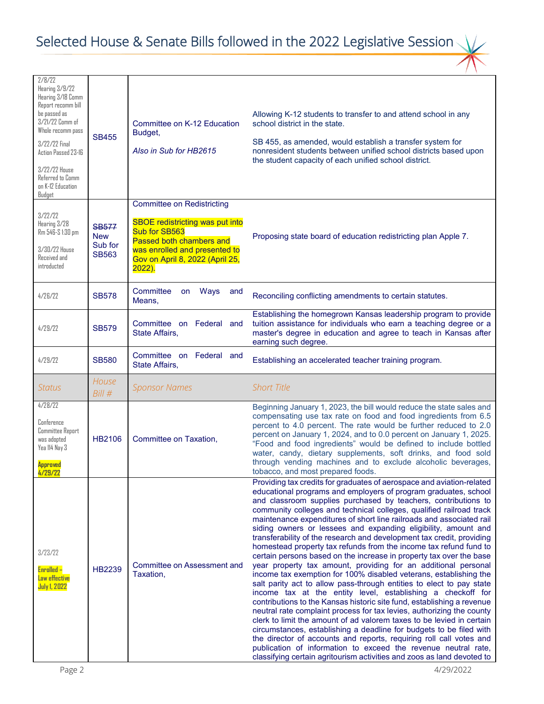| 2/8/22<br>Hearing 3/9/22<br>Hearing 3/18 Comm<br>Report recomm bill<br>be passed as<br>3/21/22 Comm of<br>Whole recomm pass<br>3/22/22 Final<br>Action Passed 23-16<br>3/22/22 House<br>Referred to Comm<br>on K-12 Education<br>Budget | <b>SB455</b>                                          | Committee on K-12 Education<br>Budget,<br>Also in Sub for HB2615                                                                                                                                          | Allowing K-12 students to transfer to and attend school in any<br>school district in the state.<br>SB 455, as amended, would establish a transfer system for<br>nonresident students between unified school districts based upon<br>the student capacity of each unified school district.                                                                                                                                                                                                                                                                                                                                                                                                                                                                                                                                                                                                                                                                                                                                                                                                                                                                                                                                                                                                                                                                                                                                                            |
|-----------------------------------------------------------------------------------------------------------------------------------------------------------------------------------------------------------------------------------------|-------------------------------------------------------|-----------------------------------------------------------------------------------------------------------------------------------------------------------------------------------------------------------|------------------------------------------------------------------------------------------------------------------------------------------------------------------------------------------------------------------------------------------------------------------------------------------------------------------------------------------------------------------------------------------------------------------------------------------------------------------------------------------------------------------------------------------------------------------------------------------------------------------------------------------------------------------------------------------------------------------------------------------------------------------------------------------------------------------------------------------------------------------------------------------------------------------------------------------------------------------------------------------------------------------------------------------------------------------------------------------------------------------------------------------------------------------------------------------------------------------------------------------------------------------------------------------------------------------------------------------------------------------------------------------------------------------------------------------------------|
| 3/22/22<br>Hearing 3/28<br>Rm 546-S 1:30 pm<br>3/30/22 House<br>Received and<br>introducted                                                                                                                                             | <b>SB577</b><br><b>New</b><br>Sub for<br><b>SB563</b> | <b>Committee on Redistricting</b><br><b>SBOE redistricting was put into</b><br>Sub for SB563<br>Passed both chambers and<br>was enrolled and presented to<br>Gov on April 8, 2022 (April 25,<br>$2022$ ). | Proposing state board of education redistricting plan Apple 7.                                                                                                                                                                                                                                                                                                                                                                                                                                                                                                                                                                                                                                                                                                                                                                                                                                                                                                                                                                                                                                                                                                                                                                                                                                                                                                                                                                                       |
| 4/26/22                                                                                                                                                                                                                                 | <b>SB578</b>                                          | Committee<br>Ways<br>on<br>and<br>Means,                                                                                                                                                                  | Reconciling conflicting amendments to certain statutes.                                                                                                                                                                                                                                                                                                                                                                                                                                                                                                                                                                                                                                                                                                                                                                                                                                                                                                                                                                                                                                                                                                                                                                                                                                                                                                                                                                                              |
| 4/29/22                                                                                                                                                                                                                                 | <b>SB579</b>                                          | Committee on Federal and<br>State Affairs,                                                                                                                                                                | Establishing the homegrown Kansas leadership program to provide<br>tuition assistance for individuals who earn a teaching degree or a<br>master's degree in education and agree to teach in Kansas after<br>earning such degree.                                                                                                                                                                                                                                                                                                                                                                                                                                                                                                                                                                                                                                                                                                                                                                                                                                                                                                                                                                                                                                                                                                                                                                                                                     |
| 4/29/22                                                                                                                                                                                                                                 | <b>SB580</b>                                          | Committee on Federal and<br>State Affairs,                                                                                                                                                                | Establishing an accelerated teacher training program.                                                                                                                                                                                                                                                                                                                                                                                                                                                                                                                                                                                                                                                                                                                                                                                                                                                                                                                                                                                                                                                                                                                                                                                                                                                                                                                                                                                                |
| <b>Status</b>                                                                                                                                                                                                                           | House<br>Bill #                                       | <b>Sponsor Names</b>                                                                                                                                                                                      | <b>Short Title</b>                                                                                                                                                                                                                                                                                                                                                                                                                                                                                                                                                                                                                                                                                                                                                                                                                                                                                                                                                                                                                                                                                                                                                                                                                                                                                                                                                                                                                                   |
| 4/28/22<br>Conference<br><b>Committee Report</b><br>was adopted<br>Yea 114 Nay 3<br><b>Approved</b><br>4/29/22                                                                                                                          | HB2106                                                | Committee on Taxation,                                                                                                                                                                                    | Beginning January 1, 2023, the bill would reduce the state sales and<br>compensating use tax rate on food and food ingredients from 6.5<br>percent to 4.0 percent. The rate would be further reduced to 2.0<br>percent on January 1, 2024, and to 0.0 percent on January 1, 2025.<br>"Food and food ingredients" would be defined to include bottled<br>water, candy, dietary supplements, soft drinks, and food sold<br>through vending machines and to exclude alcoholic beverages,<br>tobacco, and most prepared foods.                                                                                                                                                                                                                                                                                                                                                                                                                                                                                                                                                                                                                                                                                                                                                                                                                                                                                                                           |
| 3/23/22<br><b>Enrolled -</b><br>Law effective<br><b>July 1, 2022</b>                                                                                                                                                                    | HB2239                                                | <b>Committee on Assessment and</b><br>Taxation.                                                                                                                                                           | Providing tax credits for graduates of aerospace and aviation-related<br>educational programs and employers of program graduates, school<br>and classroom supplies purchased by teachers, contributions to<br>community colleges and technical colleges, qualified railroad track<br>maintenance expenditures of short line railroads and associated rail<br>siding owners or lessees and expanding eligibility, amount and<br>transferability of the research and development tax credit, providing<br>homestead property tax refunds from the income tax refund fund to<br>certain persons based on the increase in property tax over the base<br>year property tax amount, providing for an additional personal<br>income tax exemption for 100% disabled veterans, establishing the<br>salt parity act to allow pass-through entities to elect to pay state<br>income tax at the entity level, establishing a checkoff for<br>contributions to the Kansas historic site fund, establishing a revenue<br>neutral rate complaint process for tax levies, authorizing the county<br>clerk to limit the amount of ad valorem taxes to be levied in certain<br>circumstances, establishing a deadline for budgets to be filed with<br>the director of accounts and reports, requiring roll call votes and<br>publication of information to exceed the revenue neutral rate,<br>classifying certain agritourism activities and zoos as land devoted to |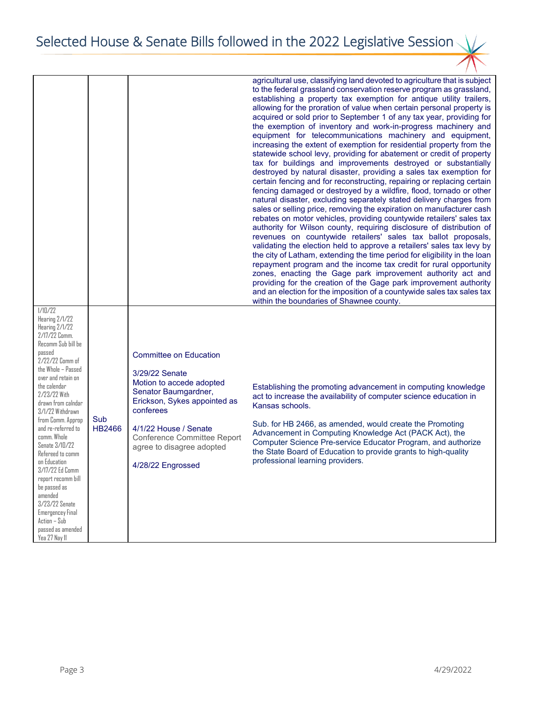Selected House & Senate Bills followed in the 2022 Legislative Session

|                                                                                                                                                                                                                                                                                                                                                                                                                                                                                                                       |                      |                                                                                                                                                                                                                                                                   | agricultural use, classifying land devoted to agriculture that is subject<br>to the federal grassland conservation reserve program as grassland,<br>establishing a property tax exemption for antique utility trailers,<br>allowing for the proration of value when certain personal property is<br>acquired or sold prior to September 1 of any tax year, providing for<br>the exemption of inventory and work-in-progress machinery and<br>equipment for telecommunications machinery and equipment,<br>increasing the extent of exemption for residential property from the<br>statewide school levy, providing for abatement or credit of property<br>tax for buildings and improvements destroyed or substantially<br>destroyed by natural disaster, providing a sales tax exemption for<br>certain fencing and for reconstructing, repairing or replacing certain<br>fencing damaged or destroyed by a wildfire, flood, tornado or other<br>natural disaster, excluding separately stated delivery charges from<br>sales or selling price, removing the expiration on manufacturer cash<br>rebates on motor vehicles, providing countywide retailers' sales tax<br>authority for Wilson county, requiring disclosure of distribution of<br>revenues on countywide retailers' sales tax ballot proposals,<br>validating the election held to approve a retailers' sales tax levy by<br>the city of Latham, extending the time period for eligibility in the loan<br>repayment program and the income tax credit for rural opportunity<br>zones, enacting the Gage park improvement authority act and |
|-----------------------------------------------------------------------------------------------------------------------------------------------------------------------------------------------------------------------------------------------------------------------------------------------------------------------------------------------------------------------------------------------------------------------------------------------------------------------------------------------------------------------|----------------------|-------------------------------------------------------------------------------------------------------------------------------------------------------------------------------------------------------------------------------------------------------------------|-----------------------------------------------------------------------------------------------------------------------------------------------------------------------------------------------------------------------------------------------------------------------------------------------------------------------------------------------------------------------------------------------------------------------------------------------------------------------------------------------------------------------------------------------------------------------------------------------------------------------------------------------------------------------------------------------------------------------------------------------------------------------------------------------------------------------------------------------------------------------------------------------------------------------------------------------------------------------------------------------------------------------------------------------------------------------------------------------------------------------------------------------------------------------------------------------------------------------------------------------------------------------------------------------------------------------------------------------------------------------------------------------------------------------------------------------------------------------------------------------------------------------------------------------------------------------------------------------------------|
|                                                                                                                                                                                                                                                                                                                                                                                                                                                                                                                       |                      |                                                                                                                                                                                                                                                                   | providing for the creation of the Gage park improvement authority<br>and an election for the imposition of a countywide sales tax sales tax<br>within the boundaries of Shawnee county.                                                                                                                                                                                                                                                                                                                                                                                                                                                                                                                                                                                                                                                                                                                                                                                                                                                                                                                                                                                                                                                                                                                                                                                                                                                                                                                                                                                                                   |
| 1/10/22<br>Hearing 2/1/22<br>Hearing 2/1/22<br>2/17/22 Comm.<br>Recomm Sub bill be<br>passed<br>2/22/22 Comm of<br>the Whole - Passed<br>over and retain on<br>the calendar<br>2/23/22 With<br>drawn from calndar<br>3/1/22 Withdrawn<br>from Comm. Approp<br>and re-referred to<br>comm. Whole<br>Senate 3/10/22<br>Refereed to comm<br>on Education<br>3/17/22 Ed Comm<br>report recomm bill<br>be passed as<br>amended<br>3/23/22 Senate<br>Emergencey Final<br>Action - Sub<br>passed as amended<br>Yea 27 Nay 11 | Sub<br><b>HB2466</b> | <b>Committee on Education</b><br>3/29/22 Senate<br>Motion to accede adopted<br>Senator Baumgardner,<br>Erickson, Sykes appointed as<br>conferees<br>4/1/22 House / Senate<br><b>Conference Committee Report</b><br>agree to disagree adopted<br>4/28/22 Engrossed | Establishing the promoting advancement in computing knowledge<br>act to increase the availability of computer science education in<br>Kansas schools.<br>Sub. for HB 2466, as amended, would create the Promoting<br>Advancement in Computing Knowledge Act (PACK Act), the<br>Computer Science Pre-service Educator Program, and authorize<br>the State Board of Education to provide grants to high-quality<br>professional learning providers.                                                                                                                                                                                                                                                                                                                                                                                                                                                                                                                                                                                                                                                                                                                                                                                                                                                                                                                                                                                                                                                                                                                                                         |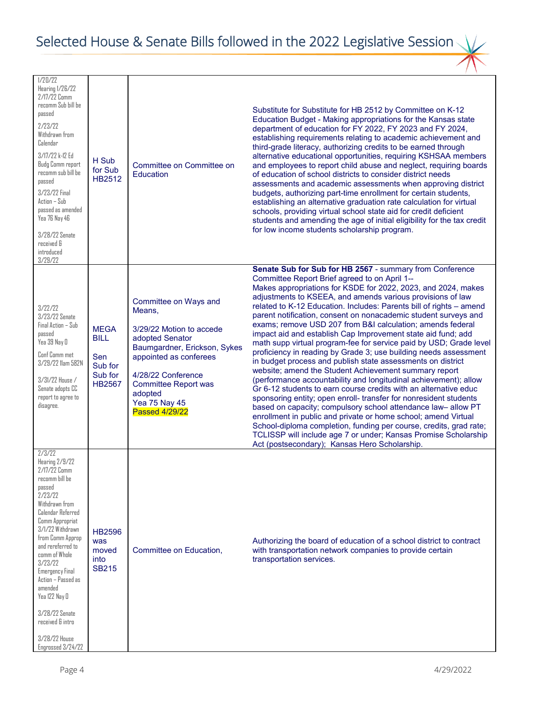| 1/20/22<br>Hearing 1/26/22<br>2/17/22 Comm<br>recomm Sub bill be<br>passed<br>2/23/22<br>Withdrawn from<br>Calendar<br>3/17/22 k-12 Ed<br>Budg Comm report<br>recomm sub bill be<br>passed<br>3/23/22 Final<br>Action - Sub<br>passed as amended<br>Yea 76 Nay 46<br>3/28/22 Senate<br>received &<br>introduced<br>3/29/22                                                                 | H Sub<br>for Sub<br>HB2512                                               | Committee on Committee on<br>Education                                                                                                                                                                                                                    | Substitute for Substitute for HB 2512 by Committee on K-12<br>Education Budget - Making appropriations for the Kansas state<br>department of education for FY 2022, FY 2023 and FY 2024,<br>establishing requirements relating to academic achievement and<br>third-grade literacy, authorizing credits to be earned through<br>alternative educational opportunities, requiring KSHSAA members<br>and employees to report child abuse and neglect, requiring boards<br>of education of school districts to consider district needs<br>assessments and academic assessments when approving district<br>budgets, authorizing part-time enrollment for certain students,<br>establishing an alternative graduation rate calculation for virtual<br>schools, providing virtual school state aid for credit deficient<br>students and amending the age of initial eligibility for the tax credit<br>for low income students scholarship program.                                                                                                                                                                                                                                                                                                                                                                                 |
|--------------------------------------------------------------------------------------------------------------------------------------------------------------------------------------------------------------------------------------------------------------------------------------------------------------------------------------------------------------------------------------------|--------------------------------------------------------------------------|-----------------------------------------------------------------------------------------------------------------------------------------------------------------------------------------------------------------------------------------------------------|------------------------------------------------------------------------------------------------------------------------------------------------------------------------------------------------------------------------------------------------------------------------------------------------------------------------------------------------------------------------------------------------------------------------------------------------------------------------------------------------------------------------------------------------------------------------------------------------------------------------------------------------------------------------------------------------------------------------------------------------------------------------------------------------------------------------------------------------------------------------------------------------------------------------------------------------------------------------------------------------------------------------------------------------------------------------------------------------------------------------------------------------------------------------------------------------------------------------------------------------------------------------------------------------------------------------------|
| 3/22/22<br>3/23/22 Senate<br>Final Action - Sub<br>passed<br>Yea 39 Nay O<br>Conf Comm met<br>3/29/22 Ilam 582N<br>$3/31/22$ House $/$<br>Senate adopts CC<br>report to agree to<br>disagree.                                                                                                                                                                                              | <b>MEGA</b><br><b>BILL</b><br>Sen<br>Sub for<br>Sub for<br><b>HB2567</b> | Committee on Ways and<br>Means,<br>3/29/22 Motion to accede<br>adopted Senator<br>Baumgardner, Erickson, Sykes<br>appointed as conferees<br>4/28/22 Conference<br><b>Committee Report was</b><br>adopted<br><b>Yea 75 Nay 45</b><br><b>Passed 4/29/22</b> | Senate Sub for Sub for HB 2567 - summary from Conference<br>Committee Report Brief agreed to on April 1--<br>Makes appropriations for KSDE for 2022, 2023, and 2024, makes<br>adjustments to KSEEA, and amends various provisions of law<br>related to K-12 Education. Includes: Parents bill of rights - amend<br>parent notification, consent on nonacademic student surveys and<br>exams; remove USD 207 from B&I calculation; amends federal<br>impact aid and establish Cap Improvement state aid fund; add<br>math supp virtual program-fee for service paid by USD; Grade level<br>proficiency in reading by Grade 3; use building needs assessment<br>in budget process and publish state assessments on district<br>website; amend the Student Achievement summary report<br>(performance accountability and longitudinal achievement); allow<br>Gr 6-12 students to earn course credits with an alternative educ<br>sponsoring entity; open enroll- transfer for nonresident students<br>based on capacity; compulsory school attendance law- allow PT<br>enrollment in public and private or home school; amend Virtual<br>School-diploma completion, funding per course, credits, grad rate;<br>TCLISSP will include age 7 or under; Kansas Promise Scholarship<br>Act (postsecondary); Kansas Hero Scholarship. |
| 2/3/22<br>Hearing 2/9/22<br>2/17/22 Comm<br>recomm bill be<br>passed<br>2/23/22<br>Withdrawn from<br>Calendar Referred<br>Comm Appropriat<br>3/1/22 Withdrawn<br>from Comm Approp<br>and rereferred to<br>comm of Whole<br>3/23/22<br><b>Emergency Final</b><br>Action - Passed as<br>amended<br>Yea 122 Nay D<br>3/28/22 Senate<br>received & intro<br>3/28/22 House<br>Engrossed 3/24/22 | <b>HB2596</b><br>was<br>moved<br>into<br>SB215                           | Committee on Education,                                                                                                                                                                                                                                   | Authorizing the board of education of a school district to contract<br>with transportation network companies to provide certain<br>transportation services.                                                                                                                                                                                                                                                                                                                                                                                                                                                                                                                                                                                                                                                                                                                                                                                                                                                                                                                                                                                                                                                                                                                                                                  |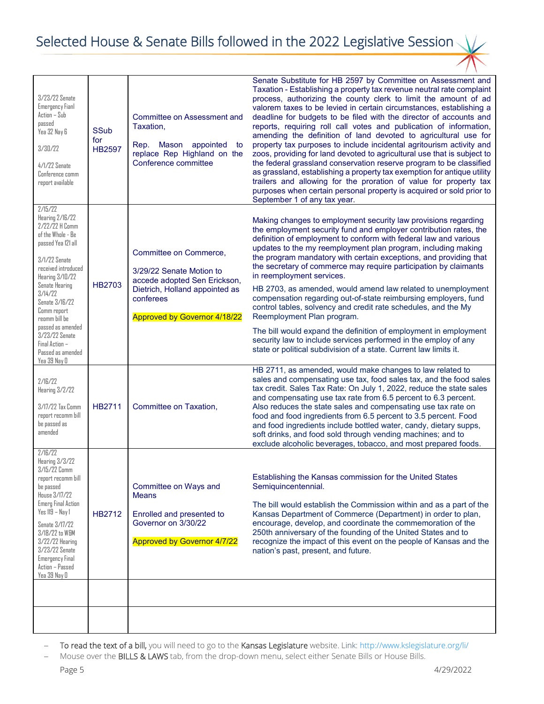| 3/23/22 Senate<br><b>Emergency Fianl</b><br>Action - Sub<br>passed<br>Yea 32 Nay 6<br>3/30/22<br>$4/1/22$ Senate<br>Conference comm<br>report available                                                                                                                                                                                | <b>SSub</b><br>for<br><b>HB2597</b> | <b>Committee on Assessment and</b><br>Taxation,<br>Mason<br>Rep.<br>appointed<br>to<br>replace Rep Highland on the<br>Conference committee                               | Senate Substitute for HB 2597 by Committee on Assessment and<br>Taxation - Establishing a property tax revenue neutral rate complaint<br>process, authorizing the county clerk to limit the amount of ad<br>valorem taxes to be levied in certain circumstances, establishing a<br>deadline for budgets to be filed with the director of accounts and<br>reports, requiring roll call votes and publication of information,<br>amending the definition of land devoted to agricultural use for<br>property tax purposes to include incidental agritourism activity and<br>zoos, providing for land devoted to agricultural use that is subject to<br>the federal grassland conservation reserve program to be classified<br>as grassland, establishing a property tax exemption for antique utility<br>trailers and allowing for the proration of value for property tax<br>purposes when certain personal property is acquired or sold prior to<br>September 1 of any tax year. |
|----------------------------------------------------------------------------------------------------------------------------------------------------------------------------------------------------------------------------------------------------------------------------------------------------------------------------------------|-------------------------------------|--------------------------------------------------------------------------------------------------------------------------------------------------------------------------|----------------------------------------------------------------------------------------------------------------------------------------------------------------------------------------------------------------------------------------------------------------------------------------------------------------------------------------------------------------------------------------------------------------------------------------------------------------------------------------------------------------------------------------------------------------------------------------------------------------------------------------------------------------------------------------------------------------------------------------------------------------------------------------------------------------------------------------------------------------------------------------------------------------------------------------------------------------------------------|
| 2/15/22<br>Hearing 2/16/22<br>2/22/22 H Comm<br>of the Whole - Be<br>passed Yea 121 all<br>3/1/22 Senate<br>received introduced<br>Hearing 3/10/22<br><b>Senate Hearing</b><br>3/14/22<br>Senate 3/16/22<br>Comm report<br>reomm bill be<br>passed as amended<br>3/23/22 Senate<br>Final Action -<br>Passed as amended<br>Yea 39 Nay O | <b>HB2703</b>                       | Committee on Commerce,<br>3/29/22 Senate Motion to<br>accede adopted Sen Erickson,<br>Dietrich, Holland appointed as<br>conferees<br><b>Approved by Governor 4/18/22</b> | Making changes to employment security law provisions regarding<br>the employment security fund and employer contribution rates, the<br>definition of employment to conform with federal law and various<br>updates to the my reemployment plan program, including making<br>the program mandatory with certain exceptions, and providing that<br>the secretary of commerce may require participation by claimants<br>in reemployment services.<br>HB 2703, as amended, would amend law related to unemployment<br>compensation regarding out-of-state reimbursing employers, fund<br>control tables, solvency and credit rate schedules, and the My<br>Reemployment Plan program.<br>The bill would expand the definition of employment in employment<br>security law to include services performed in the employ of any<br>state or political subdivision of a state. Current law limits it.                                                                                    |
| 2/16/22<br>Hearing 3/2/22<br>3/17/22 Tax Comm<br>report recomm bill<br>be passed as<br>amended                                                                                                                                                                                                                                         | <b>HB2711</b>                       | Committee on Taxation,                                                                                                                                                   | HB 2711, as amended, would make changes to law related to<br>sales and compensating use tax, food sales tax, and the food sales<br>tax credit. Sales Tax Rate: On July 1, 2022, reduce the state sales<br>and compensating use tax rate from 6.5 percent to 6.3 percent.<br>Also reduces the state sales and compensating use tax rate on<br>food and food ingredients from 6.5 percent to 3.5 percent. Food<br>and food ingredients include bottled water, candy, dietary supps,<br>soft drinks, and food sold through vending machines; and to<br>exclude alcoholic beverages, tobacco, and most prepared foods.                                                                                                                                                                                                                                                                                                                                                               |
| 2/IB/22<br>Hearing 3/3/22<br>3/15/22 Comm<br>report recomm bill<br>be passed<br><b>House 3/17/22</b><br><b>Emerg Final Action</b><br>Yes 119 - Nay 1<br>Senate 3/17/22<br>3/18/22 to W&M<br>3/22/22 Hearing<br>3/23/22 Senate<br><b>Emergency Final</b><br>Action - Passed<br>Yea 39 Nay O                                             | HB2712                              | Committee on Ways and<br><b>Means</b><br>Enrolled and presented to<br>Governor on 3/30/22<br><b>Approved by Governor 4/7/22</b>                                          | Establishing the Kansas commission for the United States<br>Semiquincentennial.<br>The bill would establish the Commission within and as a part of the<br>Kansas Department of Commerce (Department) in order to plan,<br>encourage, develop, and coordinate the commemoration of the<br>250th anniversary of the founding of the United States and to<br>recognize the impact of this event on the people of Kansas and the<br>nation's past, present, and future.                                                                                                                                                                                                                                                                                                                                                                                                                                                                                                              |
|                                                                                                                                                                                                                                                                                                                                        |                                     |                                                                                                                                                                          |                                                                                                                                                                                                                                                                                                                                                                                                                                                                                                                                                                                                                                                                                                                                                                                                                                                                                                                                                                                  |

To read the text of a bill, you will need to go to the Kansas Legislature website. Link:<http://www.kslegislature.org/li/>

Mouse over the BILLS & LAWS tab, from the drop-down menu, select either Senate Bills or House Bills.